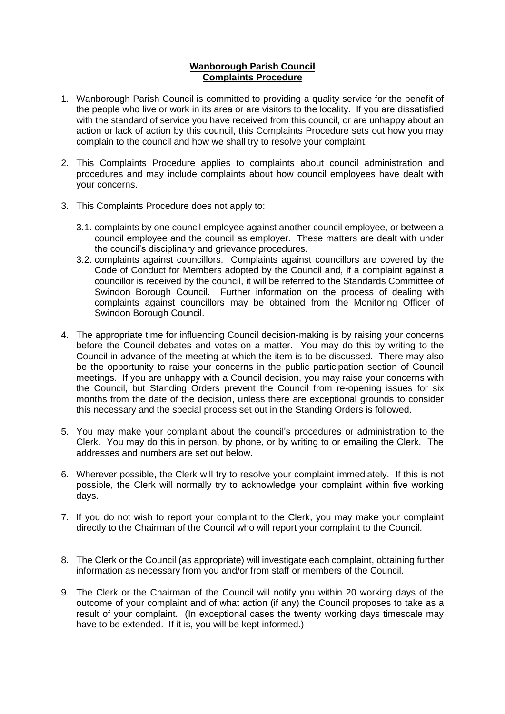## **Wanborough Parish Council Complaints Procedure**

- 1. Wanborough Parish Council is committed to providing a quality service for the benefit of the people who live or work in its area or are visitors to the locality. If you are dissatisfied with the standard of service you have received from this council, or are unhappy about an action or lack of action by this council, this Complaints Procedure sets out how you may complain to the council and how we shall try to resolve your complaint.
- 2. This Complaints Procedure applies to complaints about council administration and procedures and may include complaints about how council employees have dealt with your concerns.
- 3. This Complaints Procedure does not apply to:
	- 3.1. complaints by one council employee against another council employee, or between a council employee and the council as employer. These matters are dealt with under the council's disciplinary and grievance procedures.
	- 3.2. complaints against councillors. Complaints against councillors are covered by the Code of Conduct for Members adopted by the Council and, if a complaint against a councillor is received by the council, it will be referred to the Standards Committee of Swindon Borough Council. Further information on the process of dealing with complaints against councillors may be obtained from the Monitoring Officer of Swindon Borough Council.
- 4. The appropriate time for influencing Council decision-making is by raising your concerns before the Council debates and votes on a matter. You may do this by writing to the Council in advance of the meeting at which the item is to be discussed. There may also be the opportunity to raise your concerns in the public participation section of Council meetings. If you are unhappy with a Council decision, you may raise your concerns with the Council, but Standing Orders prevent the Council from re-opening issues for six months from the date of the decision, unless there are exceptional grounds to consider this necessary and the special process set out in the Standing Orders is followed.
- 5. You may make your complaint about the council's procedures or administration to the Clerk. You may do this in person, by phone, or by writing to or emailing the Clerk. The addresses and numbers are set out below.
- 6. Wherever possible, the Clerk will try to resolve your complaint immediately. If this is not possible, the Clerk will normally try to acknowledge your complaint within five working days.
- 7. If you do not wish to report your complaint to the Clerk, you may make your complaint directly to the Chairman of the Council who will report your complaint to the Council.
- 8. The Clerk or the Council (as appropriate) will investigate each complaint, obtaining further information as necessary from you and/or from staff or members of the Council.
- 9. The Clerk or the Chairman of the Council will notify you within 20 working days of the outcome of your complaint and of what action (if any) the Council proposes to take as a result of your complaint. (In exceptional cases the twenty working days timescale may have to be extended. If it is, you will be kept informed.)